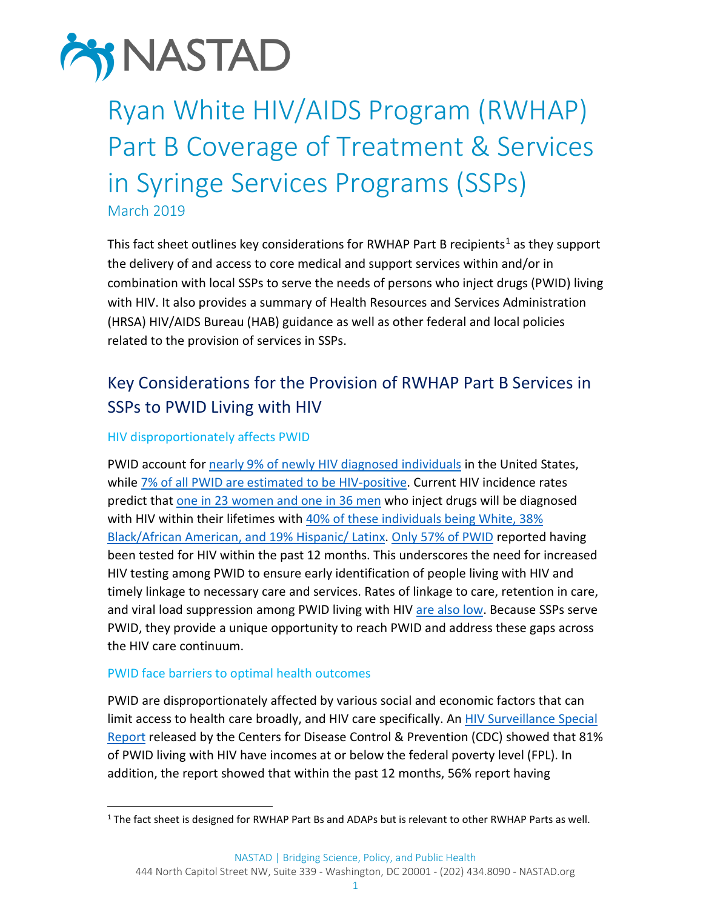

# Ryan White HIV/AIDS Program (RWHAP) Part B Coverage of Treatment & Services in Syringe Services Programs (SSPs) March 2019

This fact sheet outlines key considerations for RWHAP Part B recipients<sup>[1](#page-0-0)</sup> as they support the delivery of and access to core medical and support services within and/or in combination with local SSPs to serve the needs of persons who inject drugs (PWID) living with HIV. It also provides a summary of Health Resources and Services Administration (HRSA) HIV/AIDS Bureau (HAB) guidance as well as other federal and local policies related to the provision of services in SSPs.

# Key Considerations for the Provision of RWHAP Part B Services in SSPs to PWID Living with HIV

### HIV disproportionately affects PWID

PWID account for [nearly 9% of newly HIV diagnosed individuals](https://www.cdc.gov/hiv/pdf/library/reports/surveillance/cdc-hiv-surveillance-report-2016-vol-28.pdf) in the United States, while 7% of all PWID are [estimated to be HIV-positive.](https://www.cdc.gov/hiv/pdf/library/reports/surveillance/cdc-hiv-hssr-nhbs-pwid-2015.pdf) Current HIV incidence rates predict tha[t one in 23 women](https://www.cdc.gov/hiv/pdf/risk/cdc-hiv-idu-fact-sheet.pdf) and one in 36 men who inject drugs will be diagnosed with HIV within their lifetimes with 40% [of these individuals being](https://www.cdc.gov/hiv/pdf/risk/cdc-hiv-idu-fact-sheet.pdf) White, 38% [Black/African American, and 19% Hispanic/ Latinx.](https://www.cdc.gov/hiv/pdf/risk/cdc-hiv-idu-fact-sheet.pdf) [Only 57% of PWID](https://www.cdc.gov/hiv/pdf/library/reports/surveillance/cdc-hiv-hssr-nhbs-pwid-2015.pdf) reported having been tested for HIV within the past 12 months. This underscores the need for increased HIV testing among PWID to ensure early identification of people living with HIV and timely linkage to necessary care and services. Rates of linkage to care, retention in care, and viral load suppression among PWID living with HIV [are also low.](https://www.cdc.gov/hiv/group/hiv-idu.html) Because SSPs serve PWID, they provide a unique opportunity to reach PWID and address these gaps across the HIV care continuum.

### PWID face barriers to optimal health outcomes

PWID are disproportionately affected by various social and economic factors that can limit access to health care broadly, and HIV care specifically. An HIV Surveillance Special [Report](https://www.cdc.gov/hiv/pdf/library/reports/surveillance/cdc-hiv-hssr-nhbs-pwid-2015.pdf) released by the Centers for Disease Control & Prevention (CDC) showed that 81% of PWID living with HIV have incomes at or below the federal poverty level (FPL). In addition, the report showed that within the past 12 months, 56% report having

<span id="page-0-0"></span><sup>&</sup>lt;sup>1</sup> The fact sheet is designed for RWHAP Part Bs and ADAPs but is relevant to other RWHAP Parts as well.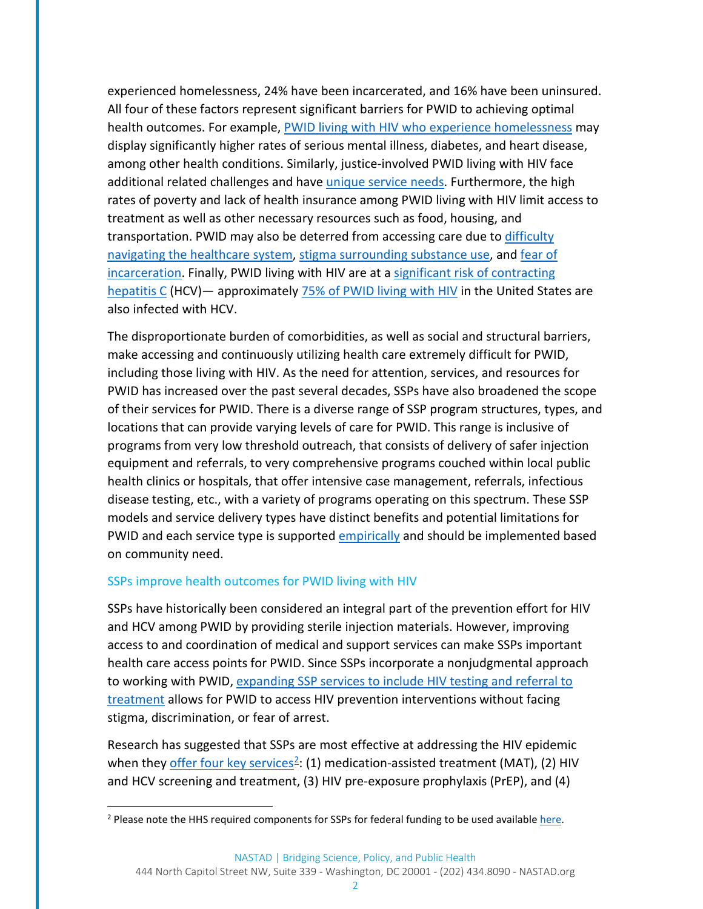experienced homelessness, 24% have been incarcerated, and 16% have been uninsured. All four of these factors represent significant barriers for PWID to achieving optimal health outcomes. For example, [PWID living with HIV](https://endhomelessness.org/homelessness-in-america/what-causes-homelessness/health/) who experience homelessness may display significantly higher rates of serious mental illness, diabetes, and heart disease, among other health conditions. Similarly, justice-involved PWID living with HIV face additional related challenges and have *unique service needs*. Furthermore, the high rates of poverty and lack of health insurance among PWID living with HIV limit access to treatment as well as other necessary resources such as food, housing, and transportation. PWID may also be deterred from accessing care due to [difficulty](https://www.nyam.org/media/filer_public/42/31/4231f3da-a58f-4714-ae72-23dc18616ced/harm_reduction-report_rev1119.pdf)  [navigating the healthcare system,](https://www.nyam.org/media/filer_public/42/31/4231f3da-a58f-4714-ae72-23dc18616ced/harm_reduction-report_rev1119.pdf) [stigma surrounding substance use,](https://nastad-my.sharepoint.com/:b:/g/personal/dtevis_nastad_org/EVGW5DKhFvBDjE85Wn402twBtCzAwNdM_OmhbILl-pbSIA?e=VZdeEV) and [fear of](https://www.hri.global/files/2011/08/08/4.08_Freidman_-_Deterrence_and_Law_Enforcement_.pdf)  [incarceration.](https://www.hri.global/files/2011/08/08/4.08_Freidman_-_Deterrence_and_Law_Enforcement_.pdf) Finally, PWID living with HIV are at a [significant risk](https://www.cdc.gov/hepatitis/populations/idu.htm) of contracting [hepatitis C](https://www.cdc.gov/hepatitis/populations/idu.htm) (HCV)— approximately [75% of PWID living with HIV](https://www.cdc.gov/hiv/pdf/library/factsheets/hiv-viral-hepatitis.pdf) in the United States are also infected with HCV.

The disproportionate burden of comorbidities, as well as social and structural barriers, make accessing and continuously utilizing health care extremely difficult for PWID, including those living with HIV. As the need for attention, services, and resources for PWID has increased over the past several decades, SSPs have also broadened the scope of their services for PWID. There is a diverse range of SSP program structures, types, and locations that can provide varying levels of care for PWID. This range is inclusive of programs from very low threshold outreach, that consists of delivery of safer injection equipment and referrals, to very comprehensive programs couched within local public health clinics or hospitals, that offer intensive case management, referrals, infectious disease testing, etc., with a variety of programs operating on this spectrum. These SSP models and service delivery types have distinct benefits and potential limitations for PWID and each service type is supported *empirically* and should be implemented based on community need.

### SSPs improve health outcomes for PWID living with HIV

SSPs have historically been considered an integral part of the prevention effort for HIV and HCV among PWID by providing sterile injection materials. However, improving access to and coordination of medical and support services can make SSPs important health care access points for PWID. Since SSPs incorporate a nonjudgmental approach to working with PWID, expanding SSP services to include HIV testing and referral to [treatment](https://www.cdc.gov/hiv/risk/ssps.html) allows for PWID to access HIV prevention interventions without facing stigma, discrimination, or fear of arrest.

Research has suggested that SSPs are most effective at addressing the HIV epidemic when they [offer four key services](https://link.springer.com/article/10.1007%2Fs11904-018-0396-x)<sup>2</sup>: (1) medication-assisted treatment (MAT), (2) HIV and HCV screening and treatment, (3) HIV pre-exposure prophylaxis (PrEP), and (4)

<span id="page-1-0"></span><sup>&</sup>lt;sup>2</sup> Please note the HHS required components for SSPs for federal funding to be used availabl[e here.](https://files.hiv.gov/s3fs-public/hhs-ssp-guidance.pdf)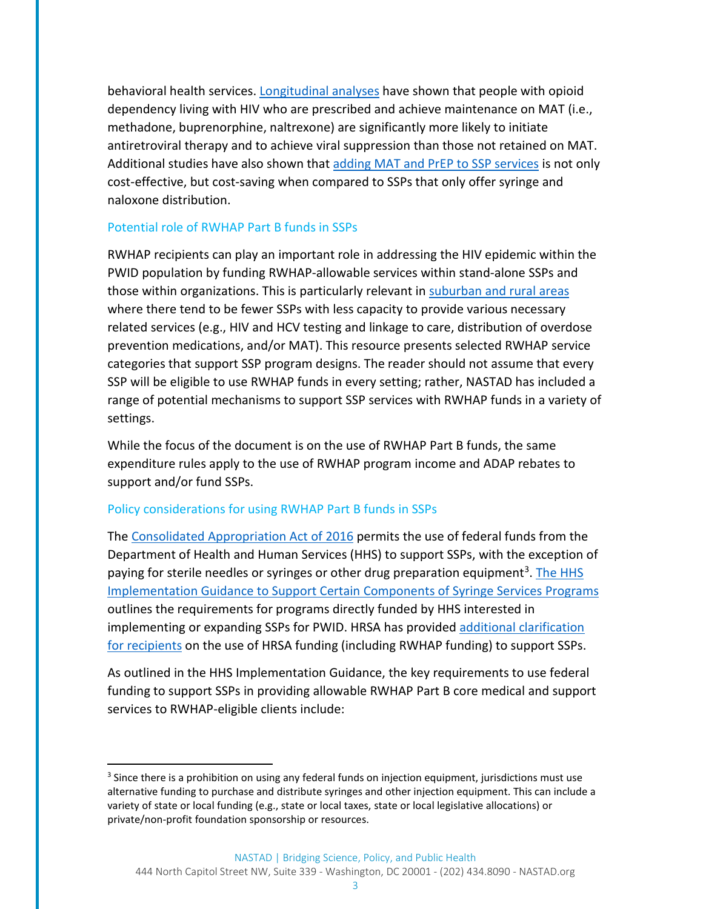behavioral health services. [Longitudinal analyses](https://www.ncbi.nlm.nih.gov/pmc/articles/PMC3263431/) have shown that people with opioid dependency living with HIV who are prescribed and achieve maintenance on MAT (i.e., methadone, buprenorphine, naltrexone) are significantly more likely to initiate antiretroviral therapy and to achieve viral suppression than those not retained on MAT. Additional studies have also shown that [adding MAT and PrEP](https://www.sciencedirect.com/science/article/pii/S2468266717300063) to SSP services is not only cost-effective, but cost-saving when compared to SSPs that only offer syringe and naloxone distribution.

### Potential role of RWHAP Part B funds in SSPs

RWHAP recipients can play an important role in addressing the HIV epidemic within the PWID population by funding RWHAP-allowable services within stand-alone SSPs and those within organizations. This is particularly relevant i[n suburban and rural areas](https://www.cdc.gov/mmwr/preview/mmwrhtml/mm6448a3.htm) where there tend to be fewer SSPs with less capacity to provide various necessary related services (e.g., HIV and HCV testing and linkage to care, distribution of overdose prevention medications, and/or MAT). This resource presents selected RWHAP service categories that support SSP program designs. The reader should not assume that every SSP will be eligible to use RWHAP funds in every setting; rather, NASTAD has included a range of potential mechanisms to support SSP services with RWHAP funds in a variety of settings.

While the focus of the document is on the use of RWHAP Part B funds, the same expenditure rules apply to the use of RWHAP program income and ADAP rebates to support and/or fund SSPs.

### Policy considerations for using RWHAP Part B funds in SSPs

The [Consolidated Appropriation Act of 2016](https://www.congress.gov/114/bills/hr2029/BILLS-114hr2029enr.pdf) permits the use of federal funds from the Department of Health and Human Services (HHS) to support SSPs, with the exception of paying for sterile needles or syringes or other drug preparation equipment<sup>[3](#page-2-0)</sup>. The HHS [Implementation Guidance to Support Certain Components of Syringe Services Programs](https://files.hiv.gov/s3fs-public/hhs-ssp-guidance.pdf) outlines the requirements for programs directly funded by HHS interested in implementing or expanding SSPs for PWID. HRSA has provided [additional clarification](https://www.hiv.gov/sites/default/files/hhs-ssp-hrsa-guidance.pdf)  [for recipients](https://www.hiv.gov/sites/default/files/hhs-ssp-hrsa-guidance.pdf) on the use of HRSA funding (including RWHAP funding) to support SSPs.

As outlined in the HHS Implementation Guidance, the key requirements to use federal funding to support SSPs in providing allowable RWHAP Part B core medical and support services to RWHAP-eligible clients include:

<span id="page-2-0"></span><sup>&</sup>lt;sup>3</sup> Since there is a prohibition on using any federal funds on injection equipment, jurisdictions must use alternative funding to purchase and distribute syringes and other injection equipment. This can include a variety of state or local funding (e.g., state or local taxes, state or local legislative allocations) or private/non-profit foundation sponsorship or resources.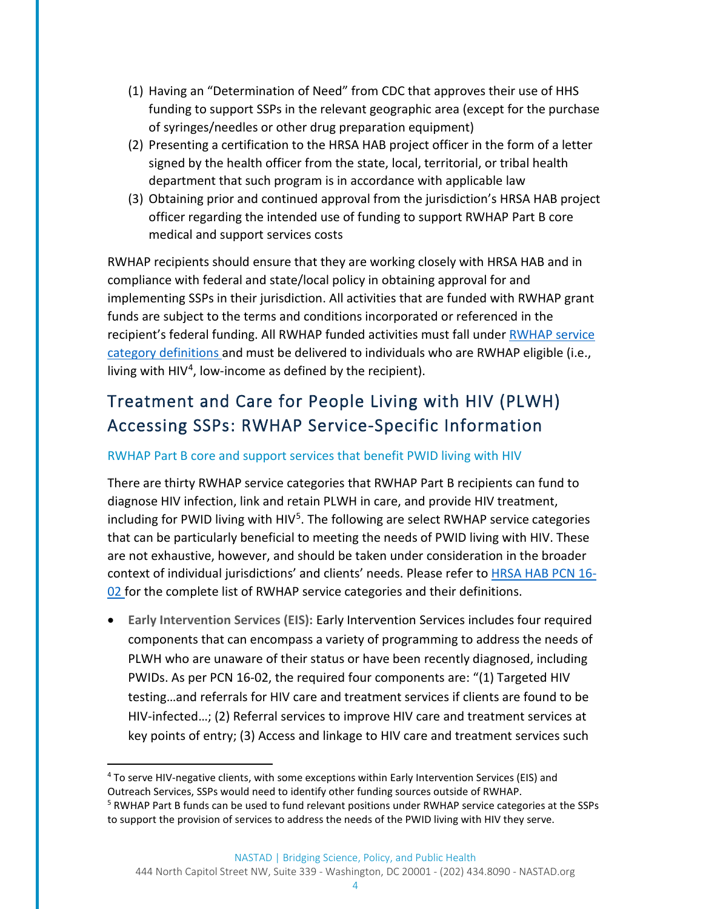- (1) Having an "Determination of Need" from CDC that approves their use of HHS funding to support SSPs in the relevant geographic area (except for the purchase of syringes/needles or other drug preparation equipment)
- (2) Presenting a certification to the HRSA HAB project officer in the form of a letter signed by the health officer from the state, local, territorial, or tribal health department that such program is in accordance with applicable law
- (3) Obtaining prior and continued approval from the jurisdiction's HRSA HAB project officer regarding the intended use of funding to support RWHAP Part B core medical and support services costs

RWHAP recipients should ensure that they are working closely with HRSA HAB and in compliance with federal and state/local policy in obtaining approval for and implementing SSPs in their jurisdiction. All activities that are funded with RWHAP grant funds are subject to the terms and conditions incorporated or referenced in the recipient's federal funding. All RWHAP funded activities must fall under RWHAP service [category definitions](https://hab.hrsa.gov/sites/default/files/hab/program-grants-management/ServiceCategoryPCN_16-02Final.pdf) and must be delivered to individuals who are RWHAP eligible (i.e., living with HIV<sup>[4](#page-3-0)</sup>, low-income as defined by the recipient).

# Treatment and Care for People Living with HIV (PLWH) Accessing SSPs: RWHAP Service-Specific Information

### RWHAP Part B core and support services that benefit PWID living with HIV

There are thirty RWHAP service categories that RWHAP Part B recipients can fund to diagnose HIV infection, link and retain PLWH in care, and provide HIV treatment, including for PWID living with  $HIV<sup>5</sup>$  $HIV<sup>5</sup>$  $HIV<sup>5</sup>$ . The following are select RWHAP service categories that can be particularly beneficial to meeting the needs of PWID living with HIV. These are not exhaustive, however, and should be taken under consideration in the broader context of individual jurisdictions' and clients' needs. Please refer to **HRSA HAB PCN 16-**[02 f](https://hab.hrsa.gov/sites/default/files/hab/program-grants-management/ServiceCategoryPCN_16-02Final.pdf)or the complete list of RWHAP service categories and their definitions.

• **Early Intervention Services (EIS):** Early Intervention Services includes four required components that can encompass a variety of programming to address the needs of PLWH who are unaware of their status or have been recently diagnosed, including PWIDs. As per PCN 16-02, the required four components are: "(1) Targeted HIV testing…and referrals for HIV care and treatment services if clients are found to be HIV-infected…; (2) Referral services to improve HIV care and treatment services at key points of entry; (3) Access and linkage to HIV care and treatment services such

<span id="page-3-0"></span> <sup>4</sup> To serve HIV-negative clients, with some exceptions within Early Intervention Services (EIS) and Outreach Services, SSPs would need to identify other funding sources outside of RWHAP.

<span id="page-3-1"></span><sup>&</sup>lt;sup>5</sup> RWHAP Part B funds can be used to fund relevant positions under RWHAP service categories at the SSPs to support the provision of services to address the needs of the PWID living with HIV they serve.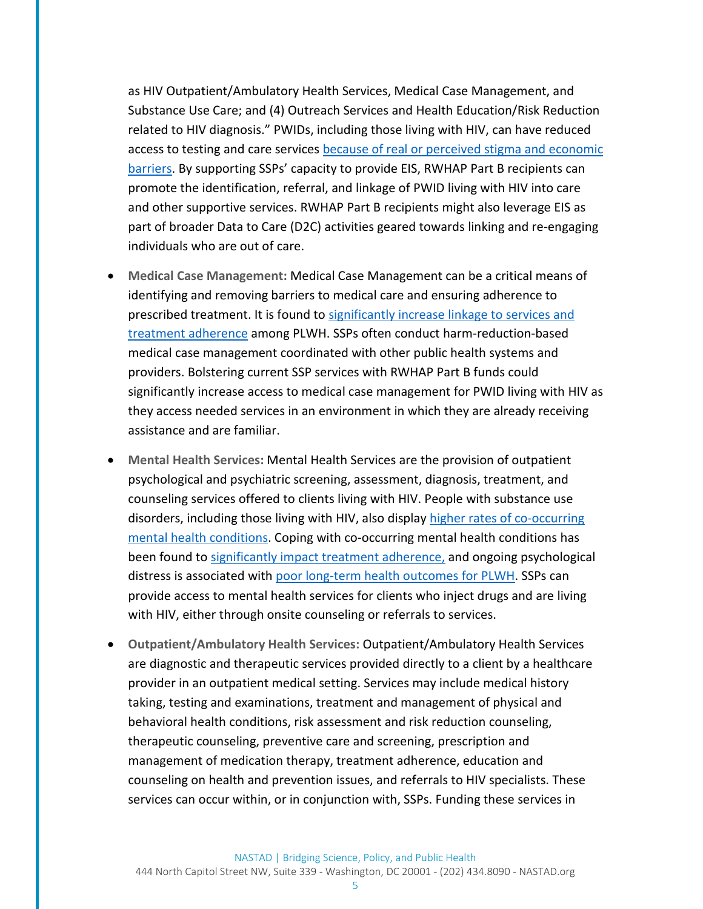as HIV Outpatient/Ambulatory Health Services, Medical Case Management, and Substance Use Care; and (4) Outreach Services and Health Education/Risk Reduction related to HIV diagnosis." PWIDs, including those living with HIV, can have reduced access to testing and care services [because of real or perceived stigma and economic](https://substanceabusepolicy.biomedcentral.com/articles/10.1186/1747-597X-8-35)  [barriers.](https://substanceabusepolicy.biomedcentral.com/articles/10.1186/1747-597X-8-35) By supporting SSPs' capacity to provide EIS, RWHAP Part B recipients can promote the identification, referral, and linkage of PWID living with HIV into care and other supportive services. RWHAP Part B recipients might also leverage EIS as part of broader Data to Care (D2C) activities geared towards linking and re-engaging individuals who are out of care.

- **Medical Case Management:** Medical Case Management can be a critical means of identifying and removing barriers to medical care and ensuring adherence to prescribed treatment. It is found to [significantly increase linkage to services and](https://www.ncbi.nlm.nih.gov/pmc/articles/PMC4744022/)  [treatment adherence](https://www.ncbi.nlm.nih.gov/pmc/articles/PMC4744022/) among PLWH. SSPs often conduct harm-reduction-based medical case management coordinated with other public health systems and providers. Bolstering current SSP services with RWHAP Part B funds could significantly increase access to medical case management for PWID living with HIV as they access needed services in an environment in which they are already receiving assistance and are familiar.
- **Mental Health Services:** Mental Health Services are the provision of outpatient psychological and psychiatric screening, assessment, diagnosis, treatment, and counseling services offered to clients living with HIV. People with substance use disorders, including those living with HIV, also display [higher rates of co-occurring](https://www.samhsa.gov/disorders/co-occurring)  [mental health conditions.](https://www.samhsa.gov/disorders/co-occurring) Coping with co-occurring mental health conditions has been found to [significantly impact treatment adherence,](https://www.ncbi.nlm.nih.gov/pmc/articles/PMC5584780/) and ongoing psychological distress is associated with [poor long-term health outcomes for PLWH.](https://www.ncbi.nlm.nih.gov/pmc/articles/PMC5584780/) SSPs can provide access to mental health services for clients who inject drugs and are living with HIV, either through onsite counseling or referrals to services.
- **Outpatient/Ambulatory Health Services:** Outpatient/Ambulatory Health Services are diagnostic and therapeutic services provided directly to a client by a healthcare provider in an outpatient medical setting. Services may include medical history taking, testing and examinations, treatment and management of physical and behavioral health conditions, risk assessment and risk reduction counseling, therapeutic counseling, preventive care and screening, prescription and management of medication therapy, treatment adherence, education and counseling on health and prevention issues, and referrals to HIV specialists. These services can occur within, or in conjunction with, SSPs. Funding these services in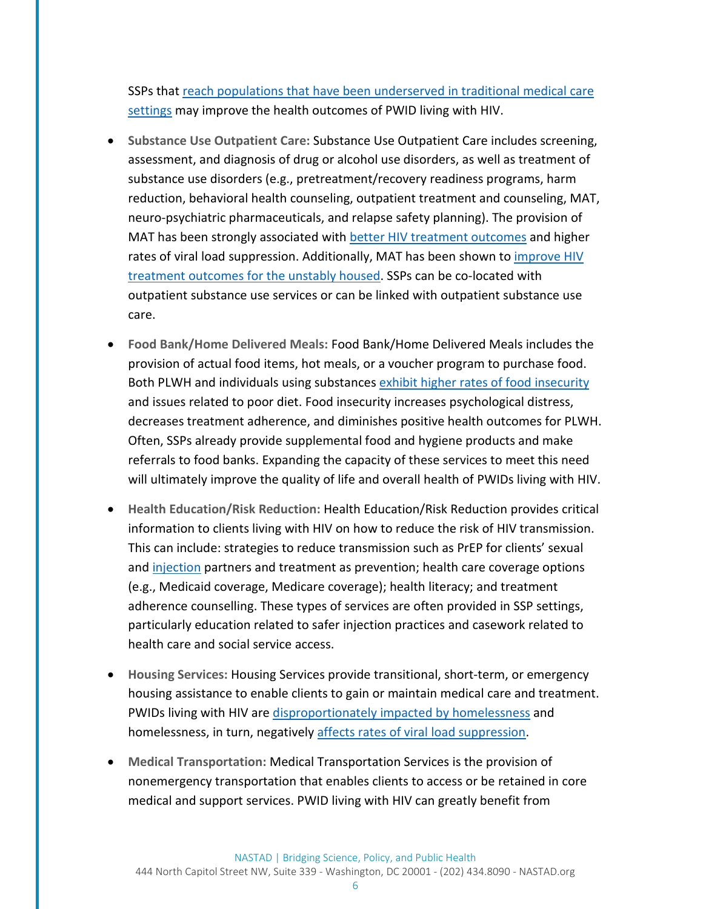SSPs that [reach populations that have been underserved in traditional medical care](https://www.ncbi.nlm.nih.gov/pmc/articles/PMC3850796/)  [settings](https://www.ncbi.nlm.nih.gov/pmc/articles/PMC3850796/) may improve the health outcomes of PWID living with HIV.

- **Substance Use Outpatient Care:** Substance Use Outpatient Care includes screening, assessment, and diagnosis of drug or alcohol use disorders, as well as treatment of substance use disorders (e.g., pretreatment/recovery readiness programs, harm reduction, behavioral health counseling, outpatient treatment and counseling, MAT, neuro-psychiatric pharmaceuticals, and relapse safety planning). The provision of MAT has been strongly associated with [better HIV treatment outcomes](https://www.ncbi.nlm.nih.gov/pmc/articles/PMC3495269/) and higher rates of viral load suppression. Additionally, MAT has been shown to *improve HIV* [treatment outcomes for the unstably housed.](https://www.ncbi.nlm.nih.gov/pubmed/21850442) SSPs can be co-located with outpatient substance use services or can be linked with outpatient substance use care.
- **Food Bank/Home Delivered Meals:** Food Bank/Home Delivered Meals includes the provision of actual food items, hot meals, or a voucher program to purchase food. Both PLWH and individuals using substances [exhibit higher rates of food insecurity](https://www.ncbi.nlm.nih.gov/pubmed/26990632) and issues related to poor diet. Food insecurity increases psychological distress, decreases treatment adherence, and diminishes positive health outcomes for PLWH. Often, SSPs already provide supplemental food and hygiene products and make referrals to food banks. Expanding the capacity of these services to meet this need will ultimately improve the quality of life and overall health of PWIDs living with HIV.
- **Health Education/Risk Reduction:** Health Education/Risk Reduction provides critical information to clients living with HIV on how to reduce the risk of HIV transmission. This can include: strategies to reduce transmission such as PrEP for clients' sexual an[d injection](https://pdfs.semanticscholar.org/4b2e/befacfccdc6058302b136c6828dee7414fc5.pdf) partners and treatment as prevention; health care coverage options (e.g., Medicaid coverage, Medicare coverage); health literacy; and treatment adherence counselling. These types of services are often provided in SSP settings, particularly education related to safer injection practices and casework related to health care and social service access.
- **Housing Services:** Housing Services provide transitional, short-term, or emergency housing assistance to enable clients to gain or maintain medical care and treatment. PWIDs living with HIV are [disproportionately impacted by homelessness](https://www.ncbi.nlm.nih.gov/pmc/articles/PMC3926693/) and homelessness, in turn, negatively [affects rates of viral load suppression.](https://www.ncbi.nlm.nih.gov/pmc/articles/PMC4657891/)
- **Medical Transportation:** Medical Transportation Services is the provision of nonemergency transportation that enables clients to access or be retained in core medical and support services. PWID living with HIV can greatly benefit from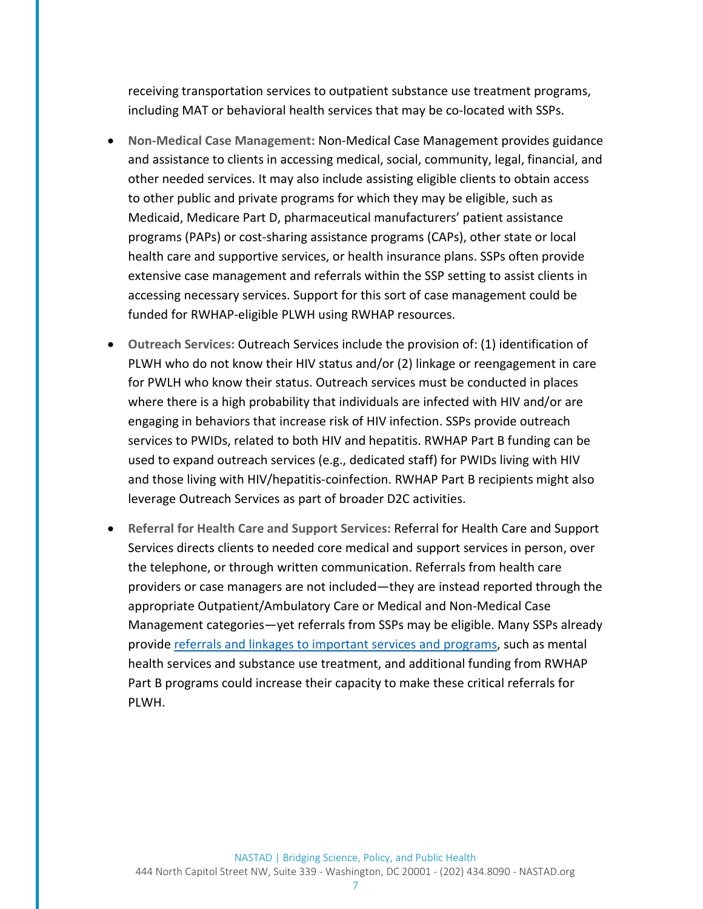receiving transportation services to outpatient substance use treatment programs, including MAT or behavioral health services that may be co-located with SSPs.

- **Non-Medical Case Management:** Non-Medical Case Management provides guidance and assistance to clients in accessing medical, social, community, legal, financial, and other needed services. It may also include assisting eligible clients to obtain access to other public and private programs for which they may be eligible, such as Medicaid, Medicare Part D, pharmaceutical manufacturers' patient assistance programs (PAPs) or cost-sharing assistance programs (CAPs), other state or local health care and supportive services, or health insurance plans. SSPs often provide extensive case management and referrals within the SSP setting to assist clients in accessing necessary services. Support for this sort of case management could be funded for RWHAP-eligible PLWH using RWHAP resources.
- **Outreach Services:** Outreach Services include the provision of: (1) identification of PLWH who do not know their HIV status and/or (2) linkage or reengagement in care for PWLH who know their status. Outreach services must be conducted in places where there is a high probability that individuals are infected with HIV and/or are engaging in behaviors that increase risk of HIV infection. SSPs provide outreach services to PWIDs, related to both HIV and hepatitis. RWHAP Part B funding can be used to expand outreach services (e.g., dedicated staff) for PWIDs living with HIV and those living with HIV/hepatitis-coinfection. RWHAP Part B recipients might also leverage Outreach Services as part of broader D2C activities.
- **Referral for Health Care and Support Services:** Referral for Health Care and Support Services directs clients to needed core medical and support services in person, over the telephone, or through written communication. Referrals from health care providers or case managers are not included—they are instead reported through the appropriate Outpatient/Ambulatory Care or Medical and Non-Medical Case Management categories—yet referrals from SSPs may be eligible. Many SSPs already provid[e referrals and linkages to important services and programs,](https://www.cdc.gov/hiv/risk/ssps.html) such as mental health services and substance use treatment, and additional funding from RWHAP Part B programs could increase their capacity to make these critical referrals for PLWH.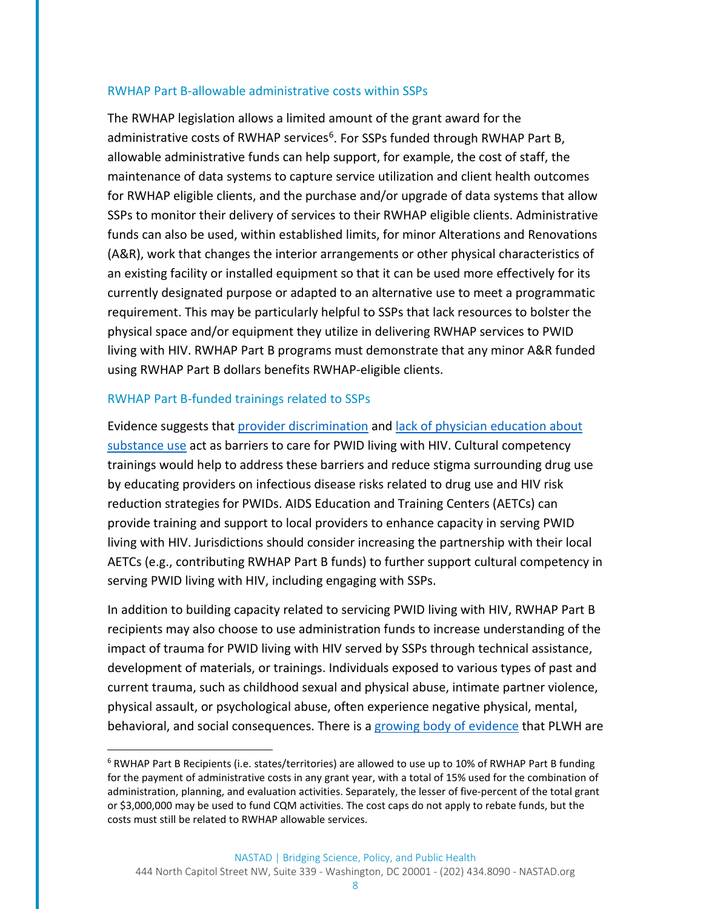#### RWHAP Part B-allowable administrative costs within SSPs

The RWHAP legislation allows a limited amount of the grant award for the administrative costs of RWHAP services<sup>6</sup>. For SSPs funded through RWHAP Part B, allowable administrative funds can help support, for example, the cost of staff, the maintenance of data systems to capture service utilization and client health outcomes for RWHAP eligible clients, and the purchase and/or upgrade of data systems that allow SSPs to monitor their delivery of services to their RWHAP eligible clients. Administrative funds can also be used, within established limits, for minor Alterations and Renovations (A&R), work that changes the interior arrangements or other physical characteristics of an existing facility or installed equipment so that it can be used more effectively for its currently designated purpose or adapted to an alternative use to meet a programmatic requirement. This may be particularly helpful to SSPs that lack resources to bolster the physical space and/or equipment they utilize in delivering RWHAP services to PWID living with HIV. RWHAP Part B programs must demonstrate that any minor A&R funded using RWHAP Part B dollars benefits RWHAP-eligible clients.

### RWHAP Part B-funded trainings related to SSPs

Evidence suggests that [provider discrimination](https://www.ncbi.nlm.nih.gov/pmc/articles/PMC3640620/) and [lack of physician education about](https://www.ncbi.nlm.nih.gov/pubmed/18580603/)  [substance use](https://www.ncbi.nlm.nih.gov/pubmed/18580603/) act as barriers to care for PWID living with HIV. Cultural competency trainings would help to address these barriers and reduce stigma surrounding drug use by educating providers on infectious disease risks related to drug use and HIV risk reduction strategies for PWIDs. AIDS Education and Training Centers (AETCs) can provide training and support to local providers to enhance capacity in serving PWID living with HIV. Jurisdictions should consider increasing the partnership with their local AETCs (e.g., contributing RWHAP Part B funds) to further support cultural competency in serving PWID living with HIV, including engaging with SSPs.

In addition to building capacity related to servicing PWID living with HIV, RWHAP Part B recipients may also choose to use administration funds to increase understanding of the impact of trauma for PWID living with HIV served by SSPs through technical assistance, development of materials, or trainings. Individuals exposed to various types of past and current trauma, such as childhood sexual and physical abuse, intimate partner violence, physical assault, or psychological abuse, often experience negative physical, mental, behavioral, and social consequences. There is a [growing body of evidence](https://www.ncbi.nlm.nih.gov/pubmed/18541904) that PLWH are

<span id="page-7-0"></span> $6$  RWHAP Part B Recipients (i.e. states/territories) are allowed to use up to 10% of RWHAP Part B funding for the payment of administrative costs in any grant year, with a total of 15% used for the combination of administration, planning, and evaluation activities. Separately, the lesser of five-percent of the total grant or \$3,000,000 may be used to fund CQM activities. The cost caps do not apply to rebate funds, but the costs must still be related to RWHAP allowable services.